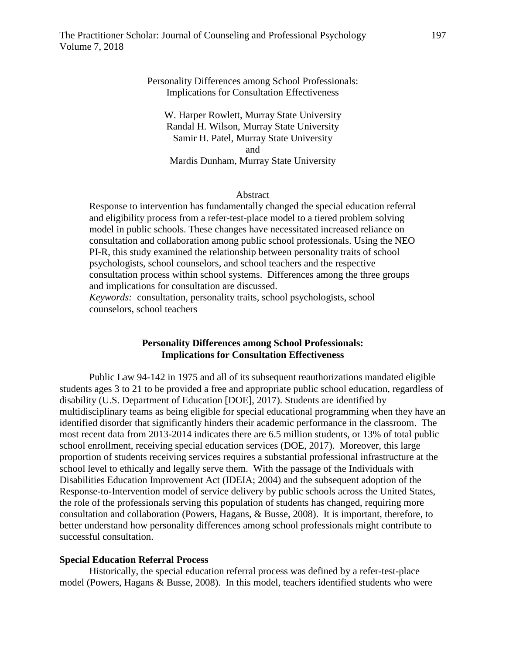# Personality Differences among School Professionals: Implications for Consultation Effectiveness

W. Harper Rowlett, Murray State University Randal H. Wilson, Murray State University Samir H. Patel, Murray State University and Mardis Dunham, Murray State University

## Abstract

Response to intervention has fundamentally changed the special education referral and eligibility process from a refer-test-place model to a tiered problem solving model in public schools. These changes have necessitated increased reliance on consultation and collaboration among public school professionals. Using the NEO PI-R, this study examined the relationship between personality traits of school psychologists, school counselors, and school teachers and the respective consultation process within school systems. Differences among the three groups and implications for consultation are discussed.

*Keywords:* consultation, personality traits, school psychologists, school counselors, school teachers

## **Personality Differences among School Professionals: Implications for Consultation Effectiveness**

Public Law 94-142 in 1975 and all of its subsequent reauthorizations mandated eligible students ages 3 to 21 to be provided a free and appropriate public school education, regardless of disability (U.S. Department of Education [DOE], 2017). Students are identified by multidisciplinary teams as being eligible for special educational programming when they have an identified disorder that significantly hinders their academic performance in the classroom. The most recent data from 2013-2014 indicates there are 6.5 million students, or 13% of total public school enrollment, receiving special education services (DOE, 2017). Moreover, this large proportion of students receiving services requires a substantial professional infrastructure at the school level to ethically and legally serve them. With the passage of the Individuals with Disabilities Education Improvement Act (IDEIA; 2004) and the subsequent adoption of the Response-to-Intervention model of service delivery by public schools across the United States, the role of the professionals serving this population of students has changed, requiring more consultation and collaboration (Powers, Hagans, & Busse, 2008). It is important, therefore, to better understand how personality differences among school professionals might contribute to successful consultation.

#### **Special Education Referral Process**

Historically, the special education referral process was defined by a refer-test-place model (Powers, Hagans & Busse, 2008). In this model, teachers identified students who were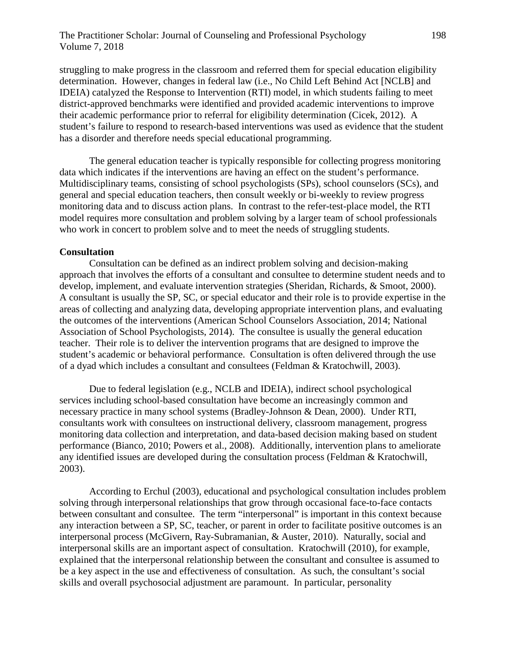struggling to make progress in the classroom and referred them for special education eligibility determination. However, changes in federal law (i.e., No Child Left Behind Act [NCLB] and IDEIA) catalyzed the Response to Intervention (RTI) model, in which students failing to meet district-approved benchmarks were identified and provided academic interventions to improve their academic performance prior to referral for eligibility determination (Cicek, 2012). A student's failure to respond to research-based interventions was used as evidence that the student has a disorder and therefore needs special educational programming.

The general education teacher is typically responsible for collecting progress monitoring data which indicates if the interventions are having an effect on the student's performance. Multidisciplinary teams, consisting of school psychologists (SPs), school counselors (SCs), and general and special education teachers, then consult weekly or bi-weekly to review progress monitoring data and to discuss action plans. In contrast to the refer-test-place model, the RTI model requires more consultation and problem solving by a larger team of school professionals who work in concert to problem solve and to meet the needs of struggling students.

# **Consultation**

Consultation can be defined as an indirect problem solving and decision-making approach that involves the efforts of a consultant and consultee to determine student needs and to develop, implement, and evaluate intervention strategies (Sheridan, Richards, & Smoot, 2000). A consultant is usually the SP, SC, or special educator and their role is to provide expertise in the areas of collecting and analyzing data, developing appropriate intervention plans, and evaluating the outcomes of the interventions (American School Counselors Association, 2014; National Association of School Psychologists, 2014). The consultee is usually the general education teacher. Their role is to deliver the intervention programs that are designed to improve the student's academic or behavioral performance. Consultation is often delivered through the use of a dyad which includes a consultant and consultees (Feldman & Kratochwill, 2003).

Due to federal legislation (e.g., NCLB and IDEIA), indirect school psychological services including school-based consultation have become an increasingly common and necessary practice in many school systems (Bradley-Johnson & Dean, 2000). Under RTI, consultants work with consultees on instructional delivery, classroom management, progress monitoring data collection and interpretation, and data-based decision making based on student performance (Bianco, 2010; Powers et al., 2008). Additionally, intervention plans to ameliorate any identified issues are developed during the consultation process (Feldman & Kratochwill, 2003).

According to Erchul (2003), educational and psychological consultation includes problem solving through interpersonal relationships that grow through occasional face-to-face contacts between consultant and consultee. The term "interpersonal" is important in this context because any interaction between a SP, SC, teacher, or parent in order to facilitate positive outcomes is an interpersonal process (McGivern, Ray-Subramanian, & Auster, 2010). Naturally, social and interpersonal skills are an important aspect of consultation. Kratochwill (2010), for example, explained that the interpersonal relationship between the consultant and consultee is assumed to be a key aspect in the use and effectiveness of consultation. As such, the consultant's social skills and overall psychosocial adjustment are paramount. In particular, personality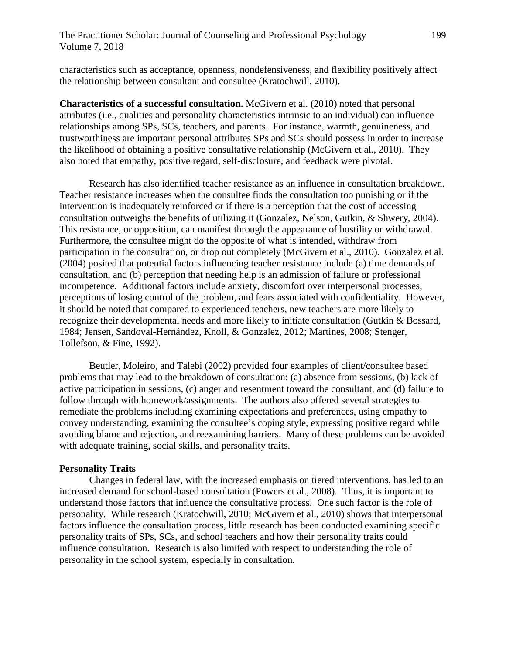characteristics such as acceptance, openness, nondefensiveness, and flexibility positively affect the relationship between consultant and consultee (Kratochwill, 2010).

**Characteristics of a successful consultation.** McGivern et al. (2010) noted that personal attributes (i.e., qualities and personality characteristics intrinsic to an individual) can influence relationships among SPs, SCs, teachers, and parents. For instance, warmth, genuineness, and trustworthiness are important personal attributes SPs and SCs should possess in order to increase the likelihood of obtaining a positive consultative relationship (McGivern et al., 2010). They also noted that empathy, positive regard, self-disclosure, and feedback were pivotal.

Research has also identified teacher resistance as an influence in consultation breakdown. Teacher resistance increases when the consultee finds the consultation too punishing or if the intervention is inadequately reinforced or if there is a perception that the cost of accessing consultation outweighs the benefits of utilizing it (Gonzalez, Nelson, Gutkin, & Shwery, 2004). This resistance, or opposition, can manifest through the appearance of hostility or withdrawal. Furthermore, the consultee might do the opposite of what is intended, withdraw from participation in the consultation, or drop out completely (McGivern et al., 2010). Gonzalez et al. (2004) posited that potential factors influencing teacher resistance include (a) time demands of consultation, and (b) perception that needing help is an admission of failure or professional incompetence. Additional factors include anxiety, discomfort over interpersonal processes, perceptions of losing control of the problem, and fears associated with confidentiality. However, it should be noted that compared to experienced teachers, new teachers are more likely to recognize their developmental needs and more likely to initiate consultation (Gutkin & Bossard, 1984; Jensen, Sandoval-Hernández, Knoll, & Gonzalez, 2012; Martines, 2008; Stenger, Tollefson, & Fine, 1992).

Beutler, Moleiro, and Talebi (2002) provided four examples of client/consultee based problems that may lead to the breakdown of consultation: (a) absence from sessions, (b) lack of active participation in sessions, (c) anger and resentment toward the consultant, and (d) failure to follow through with homework/assignments. The authors also offered several strategies to remediate the problems including examining expectations and preferences, using empathy to convey understanding, examining the consultee's coping style, expressing positive regard while avoiding blame and rejection, and reexamining barriers. Many of these problems can be avoided with adequate training, social skills, and personality traits.

### **Personality Traits**

Changes in federal law, with the increased emphasis on tiered interventions, has led to an increased demand for school-based consultation (Powers et al., 2008). Thus, it is important to understand those factors that influence the consultative process. One such factor is the role of personality. While research (Kratochwill, 2010; McGivern et al., 2010) shows that interpersonal factors influence the consultation process, little research has been conducted examining specific personality traits of SPs, SCs, and school teachers and how their personality traits could influence consultation. Research is also limited with respect to understanding the role of personality in the school system, especially in consultation.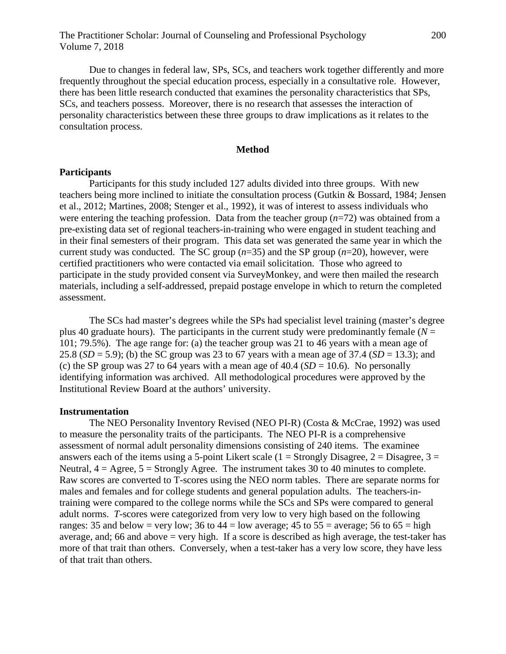Due to changes in federal law, SPs, SCs, and teachers work together differently and more frequently throughout the special education process, especially in a consultative role. However, there has been little research conducted that examines the personality characteristics that SPs, SCs, and teachers possess. Moreover, there is no research that assesses the interaction of personality characteristics between these three groups to draw implications as it relates to the consultation process.

# **Method**

#### **Participants**

Participants for this study included 127 adults divided into three groups. With new teachers being more inclined to initiate the consultation process (Gutkin & Bossard, 1984; Jensen et al., 2012; Martines, 2008; Stenger et al., 1992), it was of interest to assess individuals who were entering the teaching profession. Data from the teacher group (*n*=72) was obtained from a pre-existing data set of regional teachers-in-training who were engaged in student teaching and in their final semesters of their program. This data set was generated the same year in which the current study was conducted. The SC group  $(n=35)$  and the SP group  $(n=20)$ , however, were certified practitioners who were contacted via email solicitation. Those who agreed to participate in the study provided consent via SurveyMonkey, and were then mailed the research materials, including a self-addressed, prepaid postage envelope in which to return the completed assessment.

The SCs had master's degrees while the SPs had specialist level training (master's degree plus 40 graduate hours). The participants in the current study were predominantly female ( $N =$ 101; 79.5%). The age range for: (a) the teacher group was 21 to 46 years with a mean age of 25.8 (*SD* = 5.9); (b) the SC group was 23 to 67 years with a mean age of 37.4 (*SD* = 13.3); and (c) the SP group was 27 to 64 years with a mean age of  $40.4$  (*SD* = 10.6). No personally identifying information was archived. All methodological procedures were approved by the Institutional Review Board at the authors' university.

#### **Instrumentation**

The NEO Personality Inventory Revised (NEO PI-R) (Costa & McCrae, 1992) was used to measure the personality traits of the participants. The NEO PI-R is a comprehensive assessment of normal adult personality dimensions consisting of 240 items. The examinee answers each of the items using a 5-point Likert scale  $(1 =$  Strongly Disagree,  $2 =$  Disagree,  $3 =$ Neutral,  $4 = \text{Agree}$ ,  $5 = \text{Strongly Agree}$ . The instrument takes 30 to 40 minutes to complete. Raw scores are converted to T-scores using the NEO norm tables. There are separate norms for males and females and for college students and general population adults. The teachers-intraining were compared to the college norms while the SCs and SPs were compared to general adult norms. *T*-scores were categorized from very low to very high based on the following ranges: 35 and below = very low; 36 to 44 = low average; 45 to 55 = average; 56 to 65 = high average, and; 66 and above = very high. If a score is described as high average, the test-taker has more of that trait than others. Conversely, when a test-taker has a very low score, they have less of that trait than others.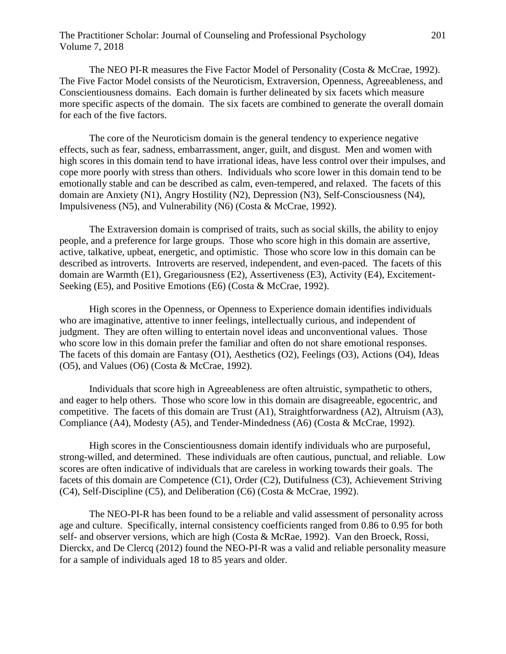# The Practitioner Scholar: Journal of Counseling and Professional Psychology 201 Volume 7, 2018

The NEO PI-R measures the Five Factor Model of Personality (Costa & McCrae, 1992). The Five Factor Model consists of the Neuroticism, Extraversion, Openness, Agreeableness, and Conscientiousness domains. Each domain is further delineated by six facets which measure more specific aspects of the domain. The six facets are combined to generate the overall domain for each of the five factors.

The core of the Neuroticism domain is the general tendency to experience negative effects, such as fear, sadness, embarrassment, anger, guilt, and disgust. Men and women with high scores in this domain tend to have irrational ideas, have less control over their impulses, and cope more poorly with stress than others. Individuals who score lower in this domain tend to be emotionally stable and can be described as calm, even-tempered, and relaxed. The facets of this domain are Anxiety (N1), Angry Hostility (N2), Depression (N3), Self-Consciousness (N4), Impulsiveness (N5), and Vulnerability (N6) (Costa & McCrae, 1992).

The Extraversion domain is comprised of traits, such as social skills, the ability to enjoy people, and a preference for large groups. Those who score high in this domain are assertive, active, talkative, upbeat, energetic, and optimistic. Those who score low in this domain can be described as introverts. Introverts are reserved, independent, and even-paced. The facets of this domain are Warmth (E1), Gregariousness (E2), Assertiveness (E3), Activity (E4), Excitement-Seeking (E5), and Positive Emotions (E6) (Costa & McCrae, 1992).

High scores in the Openness, or Openness to Experience domain identifies individuals who are imaginative, attentive to inner feelings, intellectually curious, and independent of judgment. They are often willing to entertain novel ideas and unconventional values. Those who score low in this domain prefer the familiar and often do not share emotional responses. The facets of this domain are Fantasy (O1), Aesthetics (O2), Feelings (O3), Actions (O4), Ideas (O5), and Values (O6) (Costa & McCrae, 1992).

Individuals that score high in Agreeableness are often altruistic, sympathetic to others, and eager to help others. Those who score low in this domain are disagreeable, egocentric, and competitive. The facets of this domain are Trust (A1), Straightforwardness (A2), Altruism (A3), Compliance (A4), Modesty (A5), and Tender-Mindedness (A6) (Costa & McCrae, 1992).

High scores in the Conscientiousness domain identify individuals who are purposeful, strong-willed, and determined. These individuals are often cautious, punctual, and reliable. Low scores are often indicative of individuals that are careless in working towards their goals. The facets of this domain are Competence (C1), Order (C2), Dutifulness (C3), Achievement Striving (C4), Self-Discipline (C5), and Deliberation (C6) (Costa & McCrae, 1992).

The NEO-PI-R has been found to be a reliable and valid assessment of personality across age and culture. Specifically, internal consistency coefficients ranged from 0.86 to 0.95 for both self- and observer versions, which are high (Costa & McRae, 1992). Van den Broeck, Rossi, Dierckx, and De Clercq (2012) found the NEO-PI-R was a valid and reliable personality measure for a sample of individuals aged 18 to 85 years and older.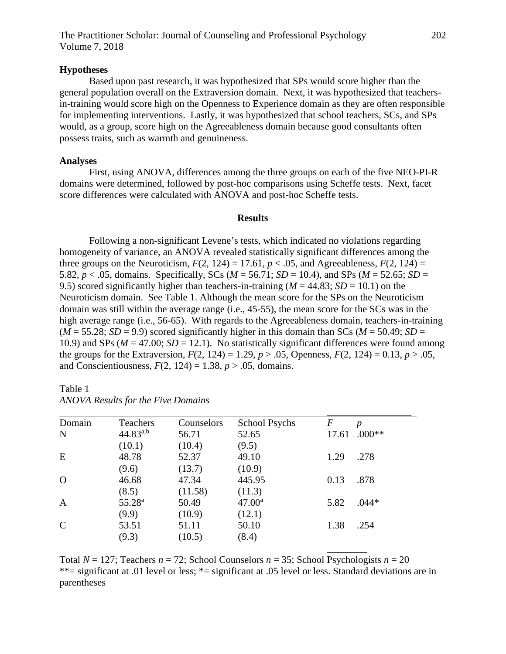## **Hypotheses**

Based upon past research, it was hypothesized that SPs would score higher than the general population overall on the Extraversion domain. Next, it was hypothesized that teachersin-training would score high on the Openness to Experience domain as they are often responsible for implementing interventions. Lastly, it was hypothesized that school teachers, SCs, and SPs would, as a group, score high on the Agreeableness domain because good consultants often possess traits, such as warmth and genuineness.

## **Analyses**

First, using ANOVA, differences among the three groups on each of the five NEO-PI-R domains were determined, followed by post-hoc comparisons using Scheffe tests. Next, facet score differences were calculated with ANOVA and post-hoc Scheffe tests.

### **Results**

Following a non-significant Levene's tests, which indicated no violations regarding homogeneity of variance, an ANOVA revealed statistically significant differences among the three groups on the Neuroticism,  $F(2, 124) = 17.61$ ,  $p < .05$ , and Agreeableness,  $F(2, 124) =$ 5.82,  $p < .05$ , domains. Specifically, SCs ( $M = 56.71$ ;  $SD = 10.4$ ), and SPs ( $M = 52.65$ ;  $SD =$ 9.5) scored significantly higher than teachers-in-training ( $M = 44.83$ ;  $SD = 10.1$ ) on the Neuroticism domain. See Table 1. Although the mean score for the SPs on the Neuroticism domain was still within the average range (i.e., 45-55), the mean score for the SCs was in the high average range (i.e., 56-65). With regards to the Agreeableness domain, teachers-in-training  $(M = 55.28; SD = 9.9)$  scored significantly higher in this domain than SCs ( $M = 50.49; SD =$ 10.9) and SPs ( $M = 47.00$ ;  $SD = 12.1$ ). No statistically significant differences were found among the groups for the Extraversion,  $F(2, 124) = 1.29$ ,  $p > .05$ , Openness,  $F(2, 124) = 0.13$ ,  $p > .05$ , and Conscientiousness,  $F(2, 124) = 1.38$ ,  $p > .05$ , domains.

| Domain        | Teachers           | Counselors | <b>School Psychs</b> | $\,F$ | p        |
|---------------|--------------------|------------|----------------------|-------|----------|
| N             | $44.83^{a,b}$      | 56.71      | 52.65                | 17.61 | $.000**$ |
|               | (10.1)             | (10.4)     | (9.5)                |       |          |
| E             | 48.78              | 52.37      | 49.10                | 1.29  | .278     |
|               | (9.6)              | (13.7)     | (10.9)               |       |          |
| $\Omega$      | 46.68              | 47.34      | 445.95               | 0.13  | .878     |
|               | (8.5)              | (11.58)    | (11.3)               |       |          |
| $\mathbf{A}$  | 55.28 <sup>a</sup> | 50.49      | 47.00 <sup>a</sup>   | 5.82  | $.044*$  |
|               | (9.9)              | (10.9)     | (12.1)               |       |          |
| $\mathcal{C}$ | 53.51              | 51.11      | 50.10                | 1.38  | .254     |
|               | (9.3)              | (10.5)     | (8.4)                |       |          |

| Table 1 |                                           |  |  |
|---------|-------------------------------------------|--|--|
|         | <b>ANOVA Results for the Five Domains</b> |  |  |

Total  $N = 127$ ; Teachers  $n = 72$ ; School Counselors  $n = 35$ ; School Psychologists  $n = 20$ \*\*= significant at .01 level or less; \*= significant at .05 level or less. Standard deviations are in parentheses

 $\overline{\phantom{a}}$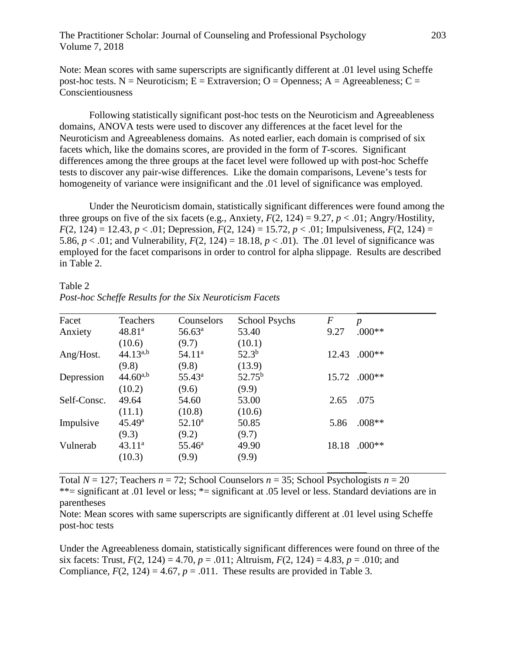Note: Mean scores with same superscripts are significantly different at .01 level using Scheffe post-hoc tests. N = Neuroticism; E = Extraversion; O = Openness; A = Agreeableness; C = **Conscientiousness** 

Following statistically significant post-hoc tests on the Neuroticism and Agreeableness domains, ANOVA tests were used to discover any differences at the facet level for the Neuroticism and Agreeableness domains. As noted earlier, each domain is comprised of six facets which, like the domains scores, are provided in the form of *T*-scores. Significant differences among the three groups at the facet level were followed up with post-hoc Scheffe tests to discover any pair-wise differences. Like the domain comparisons, Levene's tests for homogeneity of variance were insignificant and the .01 level of significance was employed.

Under the Neuroticism domain, statistically significant differences were found among the three groups on five of the six facets (e.g., Anxiety,  $F(2, 124) = 9.27$ ,  $p < .01$ ; Angry/Hostility,  $F(2, 124) = 12.43, p < .01$ ; Depression,  $F(2, 124) = 15.72, p < .01$ ; Impulsiveness,  $F(2, 124) =$ 5.86,  $p < .01$ ; and Vulnerability,  $F(2, 124) = 18.18$ ,  $p < .01$ ). The .01 level of significance was employed for the facet comparisons in order to control for alpha slippage. Results are described in Table 2.

Table 2 *Post-hoc Scheffe Results for the Six Neuroticism Facets*

| Facet       | Teachers           | Counselors      | <b>School Psychs</b> | $\,F$ | $\boldsymbol{p}$ |
|-------------|--------------------|-----------------|----------------------|-------|------------------|
| Anxiety     | 48.81 <sup>a</sup> | $56.63^{\rm a}$ | 53.40                | 9.27  | $.000**$         |
|             | (10.6)             | (9.7)           | (10.1)               |       |                  |
| Ang/Host.   | $44.13^{a,b}$      | $54.11^a$       | $52.3^{b}$           | 12.43 | $.000**$         |
|             | (9.8)              | (9.8)           | (13.9)               |       |                  |
| Depression  | $44.60^{a,b}$      | $55.43^{\circ}$ | $52.75^{\rm b}$      | 15.72 | $.000**$         |
|             | (10.2)             | (9.6)           | (9.9)                |       |                  |
| Self-Consc. | 49.64              | 54.60           | 53.00                | 2.65  | .075             |
|             | (11.1)             | (10.8)          | (10.6)               |       |                  |
| Impulsive   | $45.49^{\rm a}$    | $52.10^a$       | 50.85                | 5.86  | $.008**$         |
|             | (9.3)              | (9.2)           | (9.7)                |       |                  |
| Vulnerab    | $43.11^a$          | $55.46^{\circ}$ | 49.90                | 18.18 | $.000**$         |
|             | (10.3)             | (9.9)           | (9.9)                |       |                  |

Total  $N = 127$ ; Teachers  $n = 72$ ; School Counselors  $n = 35$ ; School Psychologists  $n = 20$ \*\*= significant at .01 level or less; \*= significant at .05 level or less. Standard deviations are in parentheses

Note: Mean scores with same superscripts are significantly different at .01 level using Scheffe post-hoc tests

Under the Agreeableness domain, statistically significant differences were found on three of the six facets: Trust,  $F(2, 124) = 4.70$ ,  $p = .011$ ; Altruism,  $F(2, 124) = 4.83$ ,  $p = .010$ ; and Compliance,  $F(2, 124) = 4.67$ ,  $p = .011$ . These results are provided in Table 3.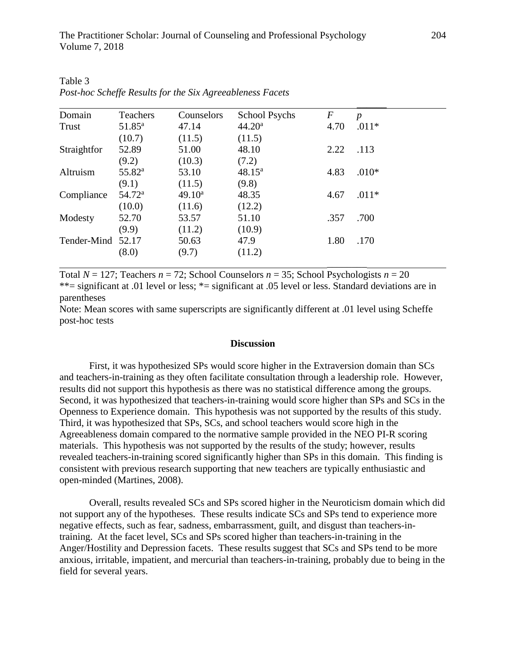| Domain      | <b>Teachers</b> | Counselors | <b>School Psychs</b> | $\boldsymbol{F}$ | $\boldsymbol{p}$ |
|-------------|-----------------|------------|----------------------|------------------|------------------|
| Trust       | $51.85^{\circ}$ | 47.14      | 44.20 <sup>a</sup>   | 4.70             | $.011*$          |
|             | (10.7)          | (11.5)     | (11.5)               |                  |                  |
| Straightfor | 52.89           | 51.00      | 48.10                | 2.22             | .113             |
|             | (9.2)           | (10.3)     | (7.2)                |                  |                  |
| Altruism    | $55.82^{\rm a}$ | 53.10      | $48.15^{\rm a}$      | 4.83             | $.010*$          |
|             | (9.1)           | (11.5)     | (9.8)                |                  |                  |
| Compliance  | $54.72^{\rm a}$ | $49.10^a$  | 48.35                | 4.67             | $.011*$          |
|             | (10.0)          | (11.6)     | (12.2)               |                  |                  |
| Modesty     | 52.70           | 53.57      | 51.10                | .357             | .700             |
|             | (9.9)           | (11.2)     | (10.9)               |                  |                  |
| Tender-Mind | 52.17           | 50.63      | 47.9                 | 1.80             | .170             |
|             | (8.0)           | (9.7)      | (11.2)               |                  |                  |

Table 3 *Post-hoc Scheffe Results for the Six Agreeableness Facets*

Total  $N = 127$ ; Teachers  $n = 72$ ; School Counselors  $n = 35$ ; School Psychologists  $n = 20$ \*\*= significant at .01 level or less; \*= significant at .05 level or less. Standard deviations are in parentheses

Note: Mean scores with same superscripts are significantly different at .01 level using Scheffe post-hoc tests

#### **Discussion**

First, it was hypothesized SPs would score higher in the Extraversion domain than SCs and teachers-in-training as they often facilitate consultation through a leadership role. However, results did not support this hypothesis as there was no statistical difference among the groups. Second, it was hypothesized that teachers-in-training would score higher than SPs and SCs in the Openness to Experience domain. This hypothesis was not supported by the results of this study. Third, it was hypothesized that SPs, SCs, and school teachers would score high in the Agreeableness domain compared to the normative sample provided in the NEO PI-R scoring materials. This hypothesis was not supported by the results of the study; however, results revealed teachers-in-training scored significantly higher than SPs in this domain. This finding is consistent with previous research supporting that new teachers are typically enthusiastic and open-minded (Martines, 2008).

Overall, results revealed SCs and SPs scored higher in the Neuroticism domain which did not support any of the hypotheses. These results indicate SCs and SPs tend to experience more negative effects, such as fear, sadness, embarrassment, guilt, and disgust than teachers-intraining. At the facet level, SCs and SPs scored higher than teachers-in-training in the Anger/Hostility and Depression facets. These results suggest that SCs and SPs tend to be more anxious, irritable, impatient, and mercurial than teachers-in-training, probably due to being in the field for several years.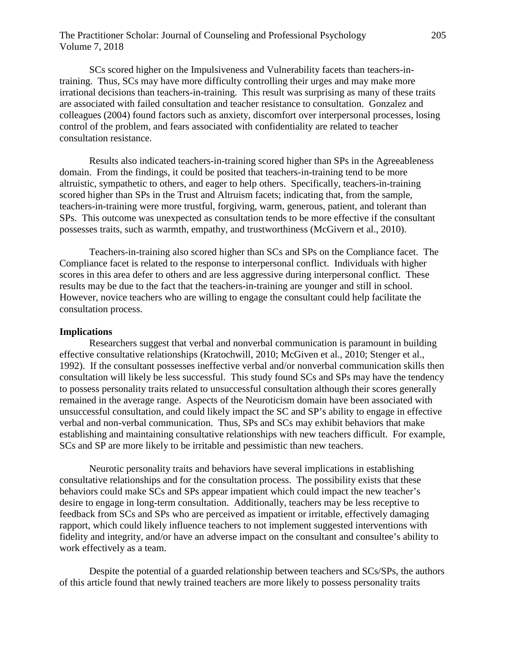# The Practitioner Scholar: Journal of Counseling and Professional Psychology 205 Volume 7, 2018

SCs scored higher on the Impulsiveness and Vulnerability facets than teachers-intraining. Thus, SCs may have more difficulty controlling their urges and may make more irrational decisions than teachers-in-training. This result was surprising as many of these traits are associated with failed consultation and teacher resistance to consultation. Gonzalez and colleagues (2004) found factors such as anxiety, discomfort over interpersonal processes, losing control of the problem, and fears associated with confidentiality are related to teacher consultation resistance.

Results also indicated teachers-in-training scored higher than SPs in the Agreeableness domain. From the findings, it could be posited that teachers-in-training tend to be more altruistic, sympathetic to others, and eager to help others. Specifically, teachers-in-training scored higher than SPs in the Trust and Altruism facets; indicating that, from the sample, teachers-in-training were more trustful, forgiving, warm, generous, patient, and tolerant than SPs. This outcome was unexpected as consultation tends to be more effective if the consultant possesses traits, such as warmth, empathy, and trustworthiness (McGivern et al., 2010).

Teachers-in-training also scored higher than SCs and SPs on the Compliance facet. The Compliance facet is related to the response to interpersonal conflict. Individuals with higher scores in this area defer to others and are less aggressive during interpersonal conflict. These results may be due to the fact that the teachers-in-training are younger and still in school. However, novice teachers who are willing to engage the consultant could help facilitate the consultation process.

# **Implications**

Researchers suggest that verbal and nonverbal communication is paramount in building effective consultative relationships (Kratochwill, 2010; McGiven et al., 2010; Stenger et al., 1992). If the consultant possesses ineffective verbal and/or nonverbal communication skills then consultation will likely be less successful. This study found SCs and SPs may have the tendency to possess personality traits related to unsuccessful consultation although their scores generally remained in the average range. Aspects of the Neuroticism domain have been associated with unsuccessful consultation, and could likely impact the SC and SP's ability to engage in effective verbal and non-verbal communication. Thus, SPs and SCs may exhibit behaviors that make establishing and maintaining consultative relationships with new teachers difficult. For example, SCs and SP are more likely to be irritable and pessimistic than new teachers.

Neurotic personality traits and behaviors have several implications in establishing consultative relationships and for the consultation process. The possibility exists that these behaviors could make SCs and SPs appear impatient which could impact the new teacher's desire to engage in long-term consultation. Additionally, teachers may be less receptive to feedback from SCs and SPs who are perceived as impatient or irritable, effectively damaging rapport, which could likely influence teachers to not implement suggested interventions with fidelity and integrity, and/or have an adverse impact on the consultant and consultee's ability to work effectively as a team.

Despite the potential of a guarded relationship between teachers and SCs/SPs, the authors of this article found that newly trained teachers are more likely to possess personality traits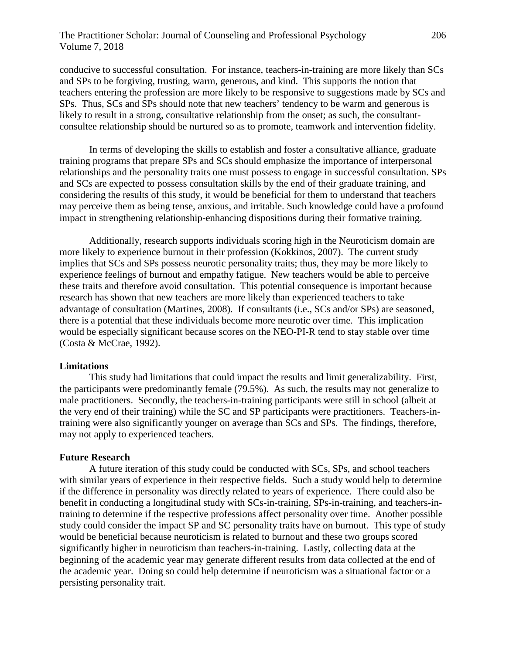# The Practitioner Scholar: Journal of Counseling and Professional Psychology 206 Volume 7, 2018

conducive to successful consultation. For instance, teachers-in-training are more likely than SCs and SPs to be forgiving, trusting, warm, generous, and kind. This supports the notion that teachers entering the profession are more likely to be responsive to suggestions made by SCs and SPs. Thus, SCs and SPs should note that new teachers' tendency to be warm and generous is likely to result in a strong, consultative relationship from the onset; as such, the consultantconsultee relationship should be nurtured so as to promote, teamwork and intervention fidelity.

In terms of developing the skills to establish and foster a consultative alliance, graduate training programs that prepare SPs and SCs should emphasize the importance of interpersonal relationships and the personality traits one must possess to engage in successful consultation. SPs and SCs are expected to possess consultation skills by the end of their graduate training, and considering the results of this study, it would be beneficial for them to understand that teachers may perceive them as being tense, anxious, and irritable. Such knowledge could have a profound impact in strengthening relationship-enhancing dispositions during their formative training.

Additionally, research supports individuals scoring high in the Neuroticism domain are more likely to experience burnout in their profession (Kokkinos, 2007). The current study implies that SCs and SPs possess neurotic personality traits; thus, they may be more likely to experience feelings of burnout and empathy fatigue. New teachers would be able to perceive these traits and therefore avoid consultation. This potential consequence is important because research has shown that new teachers are more likely than experienced teachers to take advantage of consultation (Martines, 2008). If consultants (i.e., SCs and/or SPs) are seasoned, there is a potential that these individuals become more neurotic over time. This implication would be especially significant because scores on the NEO-PI-R tend to stay stable over time (Costa & McCrae, 1992).

### **Limitations**

This study had limitations that could impact the results and limit generalizability. First, the participants were predominantly female (79.5%). As such, the results may not generalize to male practitioners. Secondly, the teachers-in-training participants were still in school (albeit at the very end of their training) while the SC and SP participants were practitioners. Teachers-intraining were also significantly younger on average than SCs and SPs. The findings, therefore, may not apply to experienced teachers.

#### **Future Research**

A future iteration of this study could be conducted with SCs, SPs, and school teachers with similar years of experience in their respective fields. Such a study would help to determine if the difference in personality was directly related to years of experience. There could also be benefit in conducting a longitudinal study with SCs-in-training, SPs-in-training, and teachers-intraining to determine if the respective professions affect personality over time. Another possible study could consider the impact SP and SC personality traits have on burnout. This type of study would be beneficial because neuroticism is related to burnout and these two groups scored significantly higher in neuroticism than teachers-in-training. Lastly, collecting data at the beginning of the academic year may generate different results from data collected at the end of the academic year. Doing so could help determine if neuroticism was a situational factor or a persisting personality trait.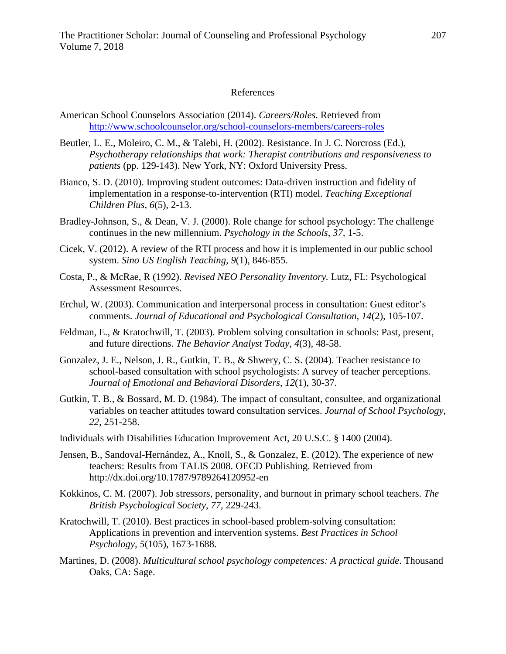## References

- American School Counselors Association (2014). *Careers/Roles*. Retrieved from <http://www.schoolcounselor.org/school-counselors-members/careers-roles>
- Beutler, L. E., Moleiro, C. M., & Talebi, H. (2002). Resistance. In J. C. Norcross (Ed.), *Psychotherapy relationships that work: Therapist contributions and responsiveness to patients* (pp. 129-143). New York, NY: Oxford University Press.
- Bianco, S. D. (2010). Improving student outcomes: Data-driven instruction and fidelity of implementation in a response-to-intervention (RTI) model. *Teaching Exceptional Children Plus, 6*(5), 2-13.
- Bradley-Johnson, S., & Dean, V. J. (2000). Role change for school psychology: The challenge continues in the new millennium. *Psychology in the Schools, 37,* 1-5.
- Cicek, V. (2012). A review of the RTI process and how it is implemented in our public school system. *Sino US English Teaching, 9*(1), 846-855.
- Costa, P., & McRae, R (1992). *Revised NEO Personality Inventory.* Lutz, FL: Psychological Assessment Resources.
- Erchul, W. (2003). Communication and interpersonal process in consultation: Guest editor's comments. *Journal of Educational and Psychological Consultation*, *14*(2), 105-107.
- Feldman, E., & Kratochwill, T. (2003). Problem solving consultation in schools: Past, present, and future directions. *The Behavior Analyst Today, 4*(3), 48-58.
- Gonzalez, J. E., Nelson, J. R., Gutkin, T. B., & Shwery, C. S. (2004). Teacher resistance to school-based consultation with school psychologists: A survey of teacher perceptions. *Journal of Emotional and Behavioral Disorders*, *12*(1), 30-37.
- Gutkin, T. B., & Bossard, M. D. (1984). The impact of consultant, consultee, and organizational variables on teacher attitudes toward consultation services. *Journal of School Psychology*, *22*, 251-258.
- Individuals with Disabilities Education Improvement Act, 20 U.S.C. § 1400 (2004).
- Jensen, B., Sandoval-Hernández, A., Knoll, S., & Gonzalez, E. (2012). The experience of new teachers: Results from TALIS 2008. OECD Publishing. Retrieved from http://dx.doi.org/10.1787/9789264120952-en
- Kokkinos, C. M. (2007). Job stressors, personality, and burnout in primary school teachers. *The British Psychological Society*, *77*, 229-243.
- Kratochwill, T. (2010). Best practices in school-based problem-solving consultation: Applications in prevention and intervention systems. *Best Practices in School Psychology, 5*(105), 1673-1688.
- Martines, D. (2008). *Multicultural school psychology competences: A practical guide*. Thousand Oaks, CA: Sage.